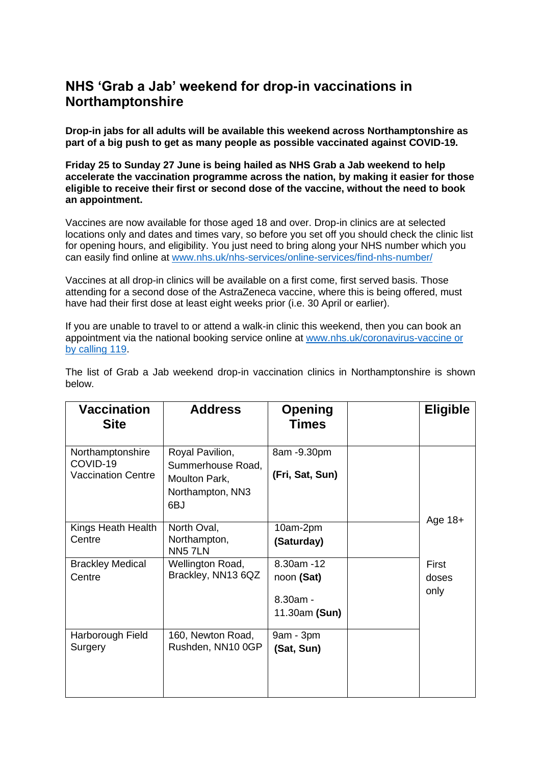## **NHS 'Grab a Jab' weekend for drop-in vaccinations in Northamptonshire**

**Drop-in jabs for all adults will be available this weekend across Northamptonshire as part of a big push to get as many people as possible vaccinated against COVID-19.** 

**Friday 25 to Sunday 27 June is being hailed as NHS Grab a Jab weekend to help accelerate the vaccination programme across the nation, by making it easier for those eligible to receive their first or second dose of the vaccine, without the need to book an appointment.** 

Vaccines are now available for those aged 18 and over. Drop-in clinics are at selected locations only and dates and times vary, so before you set off you should check the clinic list for opening hours, and eligibility. You just need to bring along your NHS number which you can easily find online at [www.nhs.uk/nhs-services/online-services/find-nhs-number/](http://www.nhs.uk/nhs-services/online-services/find-nhs-number/)

Vaccines at all drop-in clinics will be available on a first come, first served basis. Those attending for a second dose of the AstraZeneca vaccine, where this is being offered, must have had their first dose at least eight weeks prior (i.e. 30 April or earlier).

If you are unable to travel to or attend a walk-in clinic this weekend, then you can book an appointment via the national booking service online at [www.nhs.uk/coronavirus-vaccine or](http://www.nhs.uk/coronavirus-vaccine%20or%20by%20calling%20119)  [by calling 119.](http://www.nhs.uk/coronavirus-vaccine%20or%20by%20calling%20119)

| Vaccination<br><b>Site</b>                                | <b>Address</b>                                                                   | <b>Opening</b><br><b>Times</b>                         | <b>Eligible</b>        |
|-----------------------------------------------------------|----------------------------------------------------------------------------------|--------------------------------------------------------|------------------------|
| Northamptonshire<br>COVID-19<br><b>Vaccination Centre</b> | Royal Pavilion,<br>Summerhouse Road,<br>Moulton Park,<br>Northampton, NN3<br>6BJ | 8am -9.30pm<br>(Fri, Sat, Sun)                         | Age $18+$              |
| Kings Heath Health<br>Centre                              | North Oval,<br>Northampton,<br>NN5 7LN                                           | 10am-2pm<br>(Saturday)                                 |                        |
| <b>Brackley Medical</b><br>Centre                         | Wellington Road,<br>Brackley, NN13 6QZ                                           | 8.30am - 12<br>noon (Sat)<br>8.30am -<br>11.30am (Sun) | First<br>doses<br>only |
| Harborough Field<br>Surgery                               | 160, Newton Road,<br>Rushden, NN10 0GP                                           | 9am - 3pm<br>(Sat, Sun)                                |                        |

The list of Grab a Jab weekend drop-in vaccination clinics in Northamptonshire is shown below.